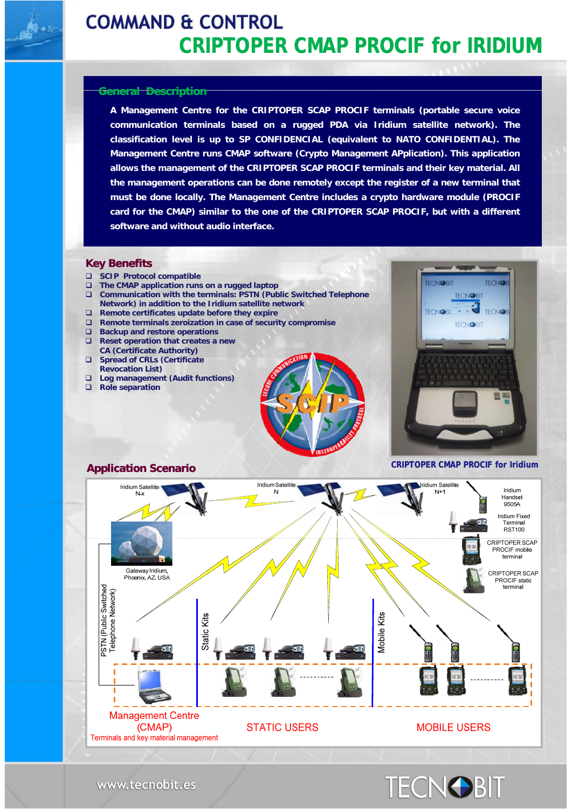

# **COMMAND & CONTROL CRIPTOPER CMAP PROCIF for IRIDIUM for**

#### **General Description General**

**A Management Centre for the CRIPTOPER SCAP PROCIF terminals (portable secure voice communication terminals based on a rugged PDA via Iridium satellite network). The classification level is up to SP CONFIDENCIAL (equivalent to NATO CONFIDENTIAL). The Management Centre runs CMAP software (Crypto Management APplication). This application allows the management of the CRIPTOPER SCAP PROCIF terminals and their key material. All i** the management operations can be done remotely except the register of a new terminal that **must be done locally. The Management Centre includes a crypto hardware module (PROCIF card for the CMAP) similar to the one of the CRIPTOPER SCAP PROCIF, but with a different software and without audio interface.**

#### **Key Benefits**

- **SCIP Protocol compatible**
- **The CMAP application runs on a rugged laptop**
- **Communication with the terminals: PSTN (Public Switched Telephone Network) in addition to the Iridium satellite network**
- **Remote certificates update before they expire**
- **Remote terminals zeroization in case of security compromise**
- **Backup and restore operations**
- **Reset operation that creates a new CA (Certificate Authority)**
- **Spread of CRLs (Certificate Spread of CRLs Revocation List)**
- **Log management (Audit functions)**
- **Role separation**





## **Application Scenario CRIPTOPER CMAP PROCIF for Iridium**



www.tecnobit.es